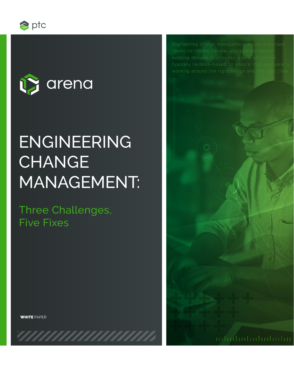



# ENGINEERING **CHANGE** MANAGEMENT:

Three Challenges, Five Fixes

Engineering change management allow

WHITE PAPER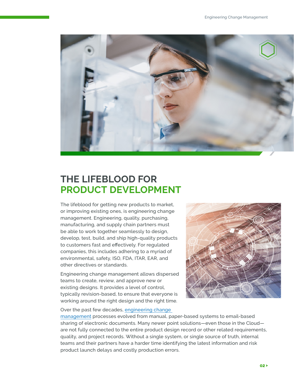

## **THE LIFEBLOOD FOR PRODUCT DEVELOPMENT**

The lifeblood for getting new products to market, or improving existing ones, is engineering change management. Engineering, quality, purchasing, manufacturing, and supply chain partners must be able to work together seamlessly to design, develop, test, build, and ship high-quality products to customers fast and effectively. For regulated companies, this includes adhering to a myriad of environmental, safety, ISO, FDA, ITAR, EAR, and other directives or standards.

Engineering change management allows dispersed teams to create, review, and approve new or existing designs. It provides a level of control, typically revision-based, to ensure that everyone is working around the right design and the right time.



Over the past few decades, [engineering change](https://www.arenasolutions.com/solutions/engineering-change-management/) 

[management](https://www.arenasolutions.com/solutions/engineering-change-management/) processes evolved from manual, paper-based systems to email-based sharing of electronic documents. Many newer point solutions—even those in the Cloud are not fully connected to the entire product design record or other related requirements, quality, and project records. Without a single system, or single source of truth, internal teams and their partners have a harder time identifying the latest information and risk product launch delays and costly production errors.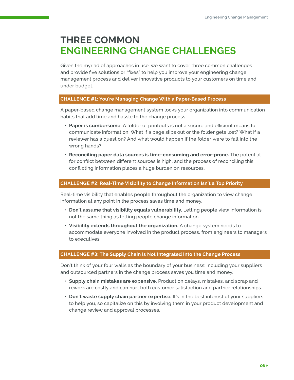### **THREE COMMON ENGINEERING CHANGE CHALLENGES**

Given the myriad of approaches in use, we want to cover three common challenges and provide five solutions or "fixes" to help you improve your engineering change management process and deliver innovative products to your customers on time and under budget.

#### **CHALLENGE #1: You're Managing Change With a Paper-Based Process**

A paper-based change management system locks your organization into communication habits that add time and hassle to the change process.

- **Paper is cumbersome.** A folder of printouts is not a secure and efficient means to communicate information. What if a page slips out or the folder gets lost? What if a reviewer has a question? And what would happen if the folder were to fall into the wrong hands?
- **Reconciling paper data sources is time-consuming and error-prone.** The potential for conflict between different sources is high, and the process of reconciling this conflicting information places a huge burden on resources.

#### **CHALLENGE #2: Real-Time Visibility to Change Information Isn't a Top Priority**

Real-time visibility that enables people throughout the organization to view change information at any point in the process saves time and money.

- **Don't assume that visibility equals vulnerability.** Letting people view information is not the same thing as letting people change information.
- **Visibility extends throughout the organization.** A change system needs to accommodate everyone involved in the product process, from engineers to managers to executives.

#### **CHALLENGE #3: The Supply Chain Is Not Integrated Into the Change Process**

Don't think of your four walls as the boundary of your business: including your suppliers and outsourced partners in the change process saves you time and money.

- **Supply chain mistakes are expensive.** Production delays, mistakes, and scrap and rework are costly and can hurt both customer satisfaction and partner relationships.
- **Don't waste supply chain partner expertise.** It's in the best interest of your suppliers to help you, so capitalize on this by involving them in your product development and change review and approval processes.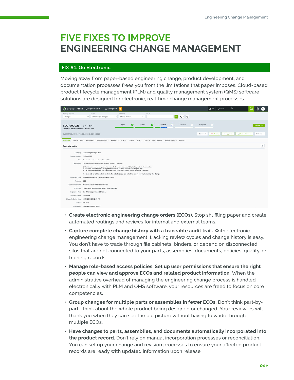### **FIVE FIXES TO IMPROVE ENGINEERING CHANGE MANAGEMENT**

#### **FIX #1: Go Electronic**

Moving away from paper-based engineering change, product development, and documentation processes frees you from the limitations that paper imposes. Cloud-based product lifecycle management (PLM) and quality management system (QMS) software solutions are designed for electronic, real-time change management processes.



- **Create electronic engineering change orders (ECOs).** Stop shuffling paper and create automated routings and reviews for internal and external teams.
- **Capture complete change history with a traceable audit trail.** With electronic engineering change management, tracking review cycles and change history is easy. You don't have to wade through file cabinets, binders, or depend on disconnected silos that are not connected to your parts, assemblies, documents, policies, quality, or training records.
- **Manage role-based access policies. Set up user permissions that ensure the right people can view and approve ECOs and related product information.** When the administrative overhead of managing the engineering change process is handled electronically with PLM and QMS software, your resources are freed to focus on core competencies.
- **Group changes for multiple parts or assemblies in fewer ECOs.** Don't think part-bypart—think about the whole product being designed or changed. Your reviewers will thank you when they can see the big picture without having to wade through multiple ECOs.
- **Have changes to parts, assemblies, and documents automatically incorporated into the product record.** Don't rely on manual incorporation processes or reconciliation. You can set up your change and revision processes to ensure your affected product records are ready with updated information upon release.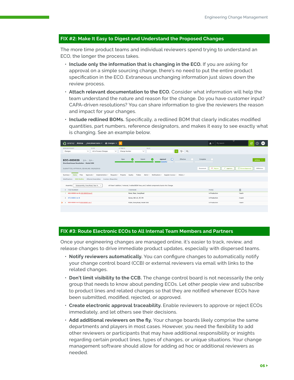#### **FIX #2: Make It Easy to Digest and Understand the Proposed Changes**

The more time product teams and individual reviewers spend trying to understand an ECO, the longer the process takes.

- **Include only the information that is changing in the ECO.** If you are asking for approval on a simple sourcing change, there's no need to put the entire product specification in the ECO. Extraneous unchanging information just slows down the review process.
- **Attach relevant documentation to the ECO.** Consider what information will help the team understand the nature and reason for the change. Do you have customer input? CAPA-driven resolutions? You can share information to give the reviewers the reason and impact for your changes.
- **Include redlined BOMs.** Specifically, a redlined BOM that clearly indicates modified quantities, part numbers, reference designators, and makes it easy to see exactly what is changing. See an example below.



#### **FIX #3: Route Electronic ECOs to All Internal Team Members and Partners**

Once your engineering changes are managed online, it's easier to track, review, and release changes to drive immediate product updates, especially with dispersed teams.

- **Notify reviewers automatically.** You can configure changes to automatically notify your change control board (CCB) or external reviewers via email with links to the related changes.
- **Don't limit visibility to the CCB.** The change control board is not necessarily the only group that needs to know about pending ECOs. Let other people view and subscribe to product lines and related changes so that they are notified whenever ECOs have been submitted, modified, rejected, or approved.
- **Create electronic approval traceability.** Enable reviewers to approve or reject ECOs immediately, and let others see their decisions.
- **Add additional reviewers on the fly.** Your change boards likely comprise the same departments and players in most cases. However, you need the flexibility to add other reviewers or participants that may have additional responsibility or insights regarding certain product lines, types of changes, or unique situations. Your change management software should allow for adding ad hoc or additional reviewers as needed.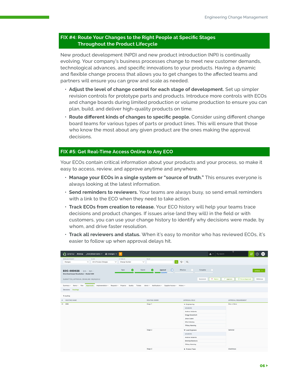#### **FIX #4: Route Your Changes to the Right People at Specific Stages Throughout the Product Lifecycle**

New product development (NPD) and new product introduction (NPI) is continually evolving. Your company's business processes change to meet new customer demands, technological advances, and specific innovations to your products. Having a dynamic and flexible change process that allows you to get changes to the affected teams and partners will ensure you can grow and scale as needed.

- **Adjust the level of change control for each stage of development.** Set up simpler revision controls for prototype parts and products. Introduce more controls with ECOs and change boards during limited production or volume production to ensure you can plan, build, and deliver high-quality products on time.
- **Route different kinds of changes to specific people.** Consider using different change board teams for various types of parts or product lines. This will ensure that those who know the most about any given product are the ones making the approval decisions.

#### **FIX #5: Get Real-Time Access Online to Any ECO**

Your ECOs contain critical information about your products and your process, so make it easy to access, review, and approve anytime and anywhere.

- **Manage your ECOs in a single system or "source of truth."** This ensures everyone is always looking at the latest information.
- **Send reminders to reviewers.** Your teams are always busy, so send email reminders with a link to the ECO when they need to take action.
- **Track ECOs from creation to release.** Your ECO history will help your teams trace decisions and product changes. If issues arise (and they will) in the field or with customers, you can use your change history to identify why decisions were made, by whom, and drive faster resolution.
- **Track all reviewers and status.** When it's easy to monitor who has reviewed ECOs, it's easier to follow up when approval delays hit.

| Changes v d'Orlé d'Arena _EveryRoad Sales v L Changes v<br>÷                                                                              |                                                                 | $2 \vee$ Q Search                             | v<br>怒<br>$^{\circ}$<br>(AD)                                             |
|-------------------------------------------------------------------------------------------------------------------------------------------|-----------------------------------------------------------------|-----------------------------------------------|--------------------------------------------------------------------------|
| WORLD/CATEGORY<br><b>FILTER</b><br><b>ATTRIBUTE</b><br>$\checkmark$<br>All In Process Changes<br>Change Number<br>$\checkmark$<br>Changes | VALUE<br>lo,<br>$\checkmark$                                    | $0 - R$                                       |                                                                          |
| Open<br>$\bullet$<br>ECO-000026<br>$22 - 02$<br>Overheat Issue Resolution - Model 300<br>SUBMITTED, APPROVAL DEADLINE: 06/30/2022         | Submit<br>Approval<br>O<br>u<br>,,,,,,,                         | Effective<br>Complete<br>X Reject<br>Comment  | Actions V<br><b>C</b> Force Approval<br>$\checkmark$ Approve<br>Withdraw |
| Summary - Items - Files Approvals Implementation - Requests - Projects<br>Quality<br>Decisions Routings                                   | Alerts v Notifications v Supplier Access v History v<br>Tickets |                                               |                                                                          |
| 1 routing                                                                                                                                 |                                                                 |                                               |                                                                          |
| ROUTING NAME<br>$\overline{a}$                                                                                                            | ROUTING ORDER                                                   | APPROVAL ROLE                                 | APPROVAL REQUIREMENT                                                     |
| 01 CCB                                                                                                                                    | Stage 1                                                         | $\blacktriangledown$ Engineering              | One or More                                                              |
|                                                                                                                                           |                                                                 | MEMBERS                                       |                                                                          |
|                                                                                                                                           |                                                                 | Andrew DeSantis                               |                                                                          |
|                                                                                                                                           |                                                                 | Gregg Gowanloch                               |                                                                          |
|                                                                                                                                           |                                                                 | Jesus Lopez<br>Mike Halladay                  |                                                                          |
|                                                                                                                                           |                                                                 | <b>Tiffany Manning</b>                        |                                                                          |
|                                                                                                                                           |                                                                 |                                               |                                                                          |
|                                                                                                                                           | Stage 2                                                         | <b>v</b> Lead Engineers                       | Optional                                                                 |
|                                                                                                                                           |                                                                 | MEMBERS                                       |                                                                          |
|                                                                                                                                           |                                                                 | <b>Andrew DeSantis</b><br>Dimitrije Slavkovic |                                                                          |
|                                                                                                                                           |                                                                 | <b>Tiffany Manning</b>                        |                                                                          |
|                                                                                                                                           | Stage 2                                                         | Product Team                                  | Unanimous                                                                |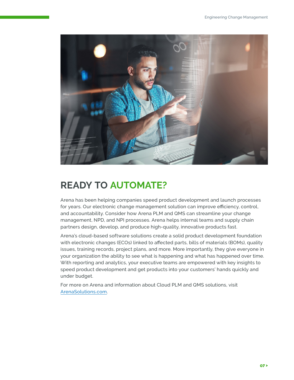

# **READY TO AUTOMATE?**

Arena has been helping companies speed product development and launch processes for years. Our electronic change management solution can improve efficiency, control, and accountability. Consider how Arena PLM and QMS can streamline your change management, NPD, and NPI processes. Arena helps internal teams and supply chain partners design, develop, and produce high-quality, innovative products fast.

Arena's cloud-based software solutions create a solid product development foundation with electronic changes (ECOs) linked to affected parts, bills of materials (BOMs), quality issues, training records, project plans, and more. More importantly, they give everyone in your organization the ability to see what is happening and what has happened over time. With reporting and analytics, your executive teams are empowered with key insights to speed product development and get products into your customers' hands quickly and under budget.

For more on Arena and information about Cloud PLM and QMS solutions, visit [ArenaSolutions.com.](https://www.arenasolutions.com/)